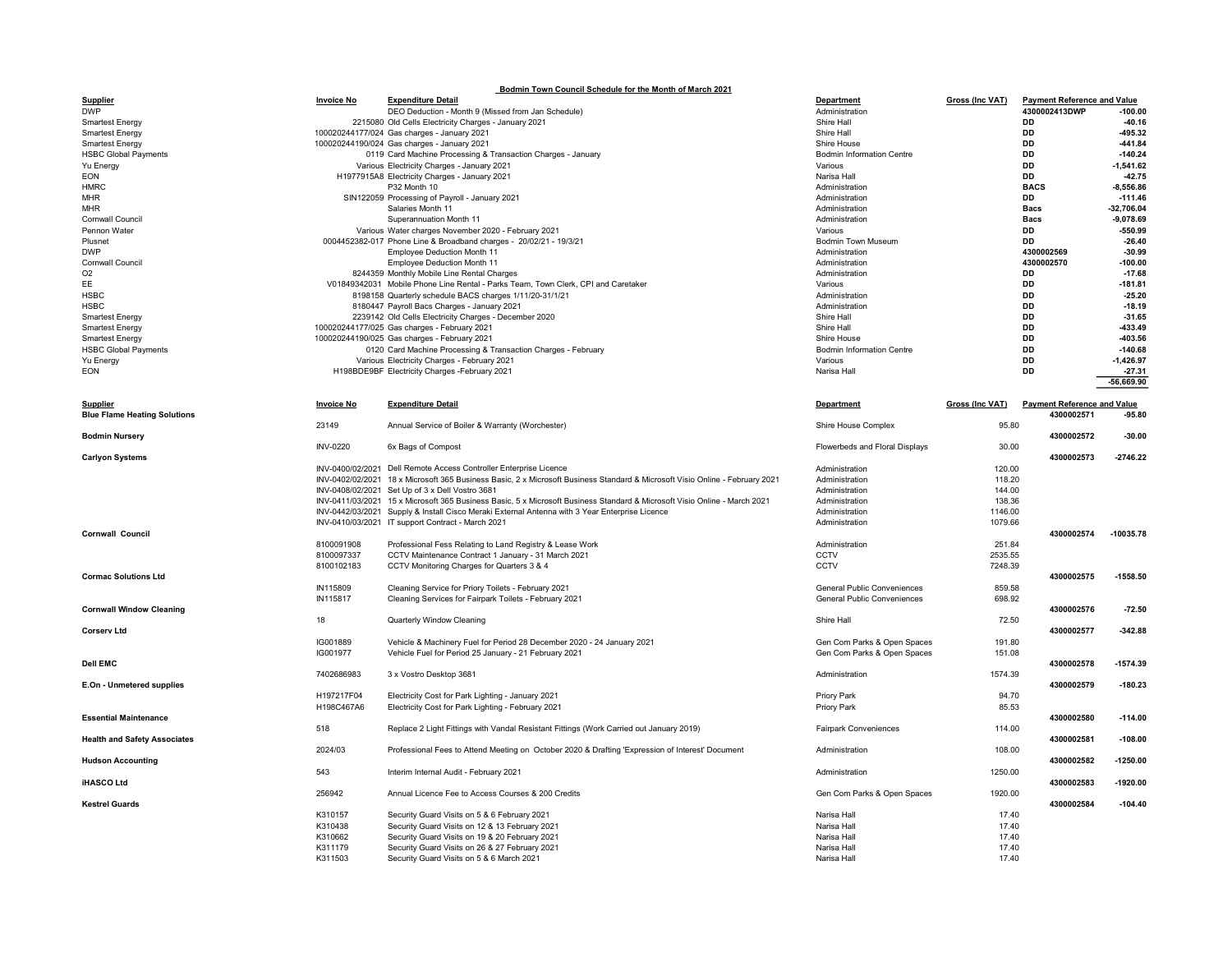| Bodmin Town Council Schedule for the Month of March 2021 |                   |                                                                                                                                              |                                    |                        |                                    |                       |  |  |  |  |  |
|----------------------------------------------------------|-------------------|----------------------------------------------------------------------------------------------------------------------------------------------|------------------------------------|------------------------|------------------------------------|-----------------------|--|--|--|--|--|
| <b>Supplier</b>                                          | <b>Invoice No</b> | <b>Expenditure Detail</b>                                                                                                                    | Department                         | Gross (Inc VAT)        | <b>Payment Reference and Value</b> |                       |  |  |  |  |  |
| <b>DWP</b>                                               |                   | DEO Deduction - Month 9 (Missed from Jan Schedule)                                                                                           | Administration                     |                        | 4300002413DWP                      | $-100.00$             |  |  |  |  |  |
| <b>Smartest Energy</b>                                   |                   | 2215080 Old Cells Electricity Charges - January 2021                                                                                         | Shire Hall                         |                        | DD<br>DD                           | $-40.16$<br>-495.32   |  |  |  |  |  |
| <b>Smartest Energy</b><br><b>Smartest Energy</b>         |                   | 100020244177/024 Gas charges - January 2021<br>100020244190/024 Gas charges - January 2021                                                   | Shire Hall<br>Shire House          |                        | <b>DD</b>                          | $-441.84$             |  |  |  |  |  |
| <b>HSBC Global Payments</b>                              |                   | 0119 Card Machine Processing & Transaction Charges - January                                                                                 | <b>Bodmin Information Centre</b>   |                        | <b>DD</b>                          | $-140.24$             |  |  |  |  |  |
| Yu Energy                                                |                   | Various Electricity Charges - January 2021                                                                                                   | Various                            |                        | DD                                 | $-1,541.62$           |  |  |  |  |  |
| EON                                                      |                   | H1977915A8 Electricity Charges - January 2021                                                                                                | Narisa Hall                        |                        | DD                                 | $-42.75$              |  |  |  |  |  |
| <b>HMRC</b>                                              |                   | P32 Month 10                                                                                                                                 | Administration                     |                        | <b>BACS</b>                        | $-8.556.86$           |  |  |  |  |  |
| <b>MHR</b>                                               |                   | SIN122059 Processing of Payroll - January 2021                                                                                               | Administration                     |                        | DD                                 | $-111.46$             |  |  |  |  |  |
| <b>MHR</b>                                               |                   | Salaries Month 11                                                                                                                            | Administration                     |                        | <b>Bacs</b>                        | $-32.706.04$          |  |  |  |  |  |
| <b>Cornwall Council</b>                                  |                   | Superannuation Month 11                                                                                                                      | Administration                     |                        | <b>Bacs</b>                        | $-9.078.69$           |  |  |  |  |  |
| Pennon Water                                             |                   | Various Water charges November 2020 - February 2021                                                                                          | Various                            |                        | DD                                 | $-550.99$             |  |  |  |  |  |
| Plusnet                                                  |                   | 0004452382-017 Phone Line & Broadband charges - 20/02/21 - 19/3/21                                                                           | Bodmin Town Museum                 |                        | DD                                 | $-26.40$              |  |  |  |  |  |
| <b>DWP</b>                                               |                   | <b>Employee Deduction Month 11</b>                                                                                                           | Administration                     |                        | 4300002569                         | $-30.99$              |  |  |  |  |  |
| Cornwall Council                                         |                   | <b>Employee Deduction Month 11</b>                                                                                                           | Administration                     |                        | 4300002570                         | $-100.00$             |  |  |  |  |  |
| O <sub>2</sub>                                           |                   | 8244359 Monthly Mobile Line Rental Charges                                                                                                   | Administration                     |                        | <b>DD</b>                          | $-17.68$              |  |  |  |  |  |
| EE<br><b>HSBC</b>                                        |                   | V01849342031 Mobile Phone Line Rental - Parks Team, Town Clerk, CPI and Caretaker<br>8198158 Quarterly schedule BACS charges 1/11/20-31/1/21 | Various<br>Administration          |                        | DD<br>DD                           | $-181.81$<br>$-25.20$ |  |  |  |  |  |
| <b>HSBC</b>                                              |                   | 8180447 Payroll Bacs Charges - January 2021                                                                                                  | Administration                     |                        | <b>DD</b>                          | $-18.19$              |  |  |  |  |  |
| <b>Smartest Energy</b>                                   |                   | 2239142 Old Cells Electricity Charges - December 2020                                                                                        | Shire Hall                         |                        | DD                                 | $-31.65$              |  |  |  |  |  |
| <b>Smartest Energy</b>                                   |                   | 100020244177/025 Gas charges - February 2021                                                                                                 | Shire Hall                         |                        | DD                                 | -433.49               |  |  |  |  |  |
| <b>Smartest Energy</b>                                   |                   | 100020244190/025 Gas charges - February 2021                                                                                                 | Shire House                        |                        | <b>DD</b>                          | -403.56               |  |  |  |  |  |
| <b>HSBC Global Payments</b>                              |                   | 0120 Card Machine Processing & Transaction Charges - February                                                                                | <b>Bodmin Information Centre</b>   |                        | DD                                 | $-140.68$             |  |  |  |  |  |
| Yu Energy                                                |                   | Various Electricity Charges - February 2021                                                                                                  | Various                            |                        | <b>DD</b>                          | $-1.426.97$           |  |  |  |  |  |
| EON                                                      |                   | H198BDE9BF Electricity Charges -February 2021                                                                                                | Narisa Hall                        |                        | <b>DD</b>                          | $-27.31$              |  |  |  |  |  |
|                                                          |                   |                                                                                                                                              |                                    |                        |                                    | $-56,669.90$          |  |  |  |  |  |
|                                                          |                   |                                                                                                                                              |                                    |                        |                                    |                       |  |  |  |  |  |
| <b>Supplier</b>                                          | <b>Invoice No</b> | <b>Expenditure Detail</b>                                                                                                                    | Department                         | <b>Gross (Inc VAT)</b> | <b>Payment Reference and Value</b> |                       |  |  |  |  |  |
| <b>Blue Flame Heating Solutions</b>                      |                   |                                                                                                                                              |                                    |                        | 4300002571                         | $-95.80$              |  |  |  |  |  |
|                                                          | 23149             | Annual Service of Boiler & Warranty (Worchester)                                                                                             | Shire House Complex                | 95.80                  |                                    |                       |  |  |  |  |  |
| <b>Bodmin Nursery</b>                                    | <b>INV-0220</b>   |                                                                                                                                              |                                    | 30.00                  | 4300002572                         | $-30.00$              |  |  |  |  |  |
|                                                          |                   | 6x Bags of Compost                                                                                                                           | Flowerbeds and Floral Displays     |                        |                                    | $-2746.22$            |  |  |  |  |  |
| <b>Carlyon Systems</b>                                   |                   | INV-0400/02/2021 Dell Remote Access Controller Enterprise Licence                                                                            | Administration                     | 120.00                 | 4300002573                         |                       |  |  |  |  |  |
|                                                          |                   | INV-0402/02/2021 18 x Microsoft 365 Business Basic, 2 x Microsoft Business Standard & Microsoft Visio Online - February 2021                 | Administration                     | 118.20                 |                                    |                       |  |  |  |  |  |
|                                                          |                   | INV-0408/02/2021 Set Up of 3 x Dell Vostro 3681                                                                                              | Administration                     | 144.00                 |                                    |                       |  |  |  |  |  |
|                                                          |                   | INV-0411/03/2021 15 x Microsoft 365 Business Basic, 5 x Microsoft Business Standard & Microsoft Visio Online - March 2021                    | Administration                     | 138.36                 |                                    |                       |  |  |  |  |  |
|                                                          |                   | INV-0442/03/2021 Supply & Install Cisco Meraki External Antenna with 3 Year Enterprise Licence                                               | Administration                     | 1146.00                |                                    |                       |  |  |  |  |  |
|                                                          |                   | INV-0410/03/2021 IT support Contract - March 2021                                                                                            | Administration                     | 1079.66                |                                    |                       |  |  |  |  |  |
| Cornwall Council                                         |                   |                                                                                                                                              |                                    |                        | 4300002574                         | $-10035.78$           |  |  |  |  |  |
|                                                          | 8100091908        | Professional Fess Relating to Land Registry & Lease Work                                                                                     | Administration                     | 251.84                 |                                    |                       |  |  |  |  |  |
|                                                          | 8100097337        | CCTV Maintenance Contract 1 January - 31 March 2021                                                                                          | CCTV                               | 2535.55                |                                    |                       |  |  |  |  |  |
|                                                          | 8100102183        | CCTV Monitoring Charges for Quarters 3 & 4                                                                                                   | CCTV                               | 7248.39                |                                    |                       |  |  |  |  |  |
| <b>Cormac Solutions Ltd</b>                              |                   |                                                                                                                                              |                                    |                        | 4300002575                         | $-1558.50$            |  |  |  |  |  |
|                                                          | IN115809          | Cleaning Service for Priory Toilets - February 2021                                                                                          | <b>General Public Conveniences</b> | 859.58                 |                                    |                       |  |  |  |  |  |
|                                                          | IN115817          | Cleaning Services for Fairpark Toilets - February 2021                                                                                       | <b>General Public Conveniences</b> | 698.92                 |                                    |                       |  |  |  |  |  |
| <b>Cornwall Window Cleaning</b>                          |                   |                                                                                                                                              |                                    |                        | 4300002576                         | $-72.50$              |  |  |  |  |  |
| <b>Corserv Ltd</b>                                       | 18                | Quarterly Window Cleaning                                                                                                                    | Shire Hall                         | 72.50                  | 4300002577                         | $-342.88$             |  |  |  |  |  |
|                                                          | IG001889          | Vehicle & Machinery Fuel for Period 28 December 2020 - 24 January 2021                                                                       | Gen Com Parks & Open Spaces        | 191.80                 |                                    |                       |  |  |  |  |  |
|                                                          | IG001977          | Vehicle Fuel for Period 25 January - 21 February 2021                                                                                        | Gen Com Parks & Open Spaces        | 151.08                 |                                    |                       |  |  |  |  |  |
| <b>Dell EMC</b>                                          |                   |                                                                                                                                              |                                    |                        | 4300002578                         | $-1574.39$            |  |  |  |  |  |
|                                                          | 7402686983        | 3 x Vostro Desktop 3681                                                                                                                      | Administration                     | 1574.39                |                                    |                       |  |  |  |  |  |
| E.On - Unmetered supplies                                |                   |                                                                                                                                              |                                    |                        | 4300002579                         | $-180.23$             |  |  |  |  |  |
|                                                          | H197217F04        | Electricity Cost for Park Lighting - January 2021                                                                                            | Priory Park                        | 94.70                  |                                    |                       |  |  |  |  |  |
|                                                          | H198C467A6        | Electricity Cost for Park Lighting - February 2021                                                                                           | Priory Park                        | 85.53                  |                                    |                       |  |  |  |  |  |
| <b>Essential Maintenance</b>                             |                   |                                                                                                                                              |                                    |                        | 4300002580                         | $-114.00$             |  |  |  |  |  |
|                                                          | 518               | Replace 2 Light Fittings with Vandal Resistant Fittings (Work Carried out January 2019)                                                      | <b>Fairpark Conveniences</b>       | 114.00                 |                                    |                       |  |  |  |  |  |
| <b>Health and Safety Associates</b>                      |                   |                                                                                                                                              |                                    |                        | 4300002581                         | $-108.00$             |  |  |  |  |  |
|                                                          | 2024/03           | Professional Fees to Attend Meeting on October 2020 & Drafting 'Expression of Interest' Document                                             | Administration                     | 108.00                 |                                    |                       |  |  |  |  |  |
| <b>Hudson Accounting</b>                                 |                   |                                                                                                                                              |                                    |                        | 4300002582                         | $-1250.00$            |  |  |  |  |  |
|                                                          | 543               | Interim Internal Audit - February 2021                                                                                                       | Administration                     | 1250.00                |                                    |                       |  |  |  |  |  |
| <b>iHASCO Ltd</b>                                        |                   |                                                                                                                                              |                                    |                        | 4300002583                         | $-1920.00$            |  |  |  |  |  |
| <b>Kestrel Guards</b>                                    | 256942            | Annual Licence Fee to Access Courses & 200 Credits                                                                                           | Gen Com Parks & Open Spaces        | 1920.00                | 4300002584                         |                       |  |  |  |  |  |
|                                                          | K310157           | Security Guard Visits on 5 & 6 February 2021                                                                                                 | Narisa Hall                        | 17.40                  |                                    | $-104.40$             |  |  |  |  |  |
|                                                          | K310438           | Security Guard Visits on 12 & 13 February 2021                                                                                               | Narisa Hall                        | 17.40                  |                                    |                       |  |  |  |  |  |
|                                                          | K310662           | Security Guard Visits on 19 & 20 February 2021                                                                                               | Narisa Hall                        | 17.40                  |                                    |                       |  |  |  |  |  |
|                                                          | K311179           | Security Guard Visits on 26 & 27 February 2021                                                                                               | Narisa Hall                        | 17.40                  |                                    |                       |  |  |  |  |  |
|                                                          | K311503           | Security Guard Visits on 5 & 6 March 2021                                                                                                    | Narisa Hall                        | 17.40                  |                                    |                       |  |  |  |  |  |
|                                                          |                   |                                                                                                                                              |                                    |                        |                                    |                       |  |  |  |  |  |